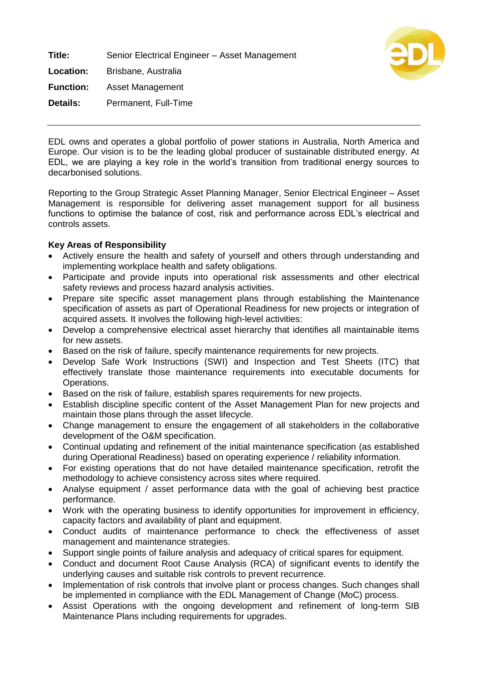**Title:** Senior Electrical Engineer – Asset Management **Location:** Brisbane, Australia **Function:** Asset Management **Details:** Permanent, Full-Time



EDL owns and operates a global portfolio of power stations in Australia, North America and Europe. Our vision is to be the leading global producer of sustainable distributed energy. At EDL, we are playing a key role in the world's transition from traditional energy sources to decarbonised solutions.

Reporting to the Group Strategic Asset Planning Manager, Senior Electrical Engineer – Asset Management is responsible for delivering asset management support for all business functions to optimise the balance of cost, risk and performance across EDL's electrical and controls assets.

## **Key Areas of Responsibility**

- Actively ensure the health and safety of yourself and others through understanding and implementing workplace health and safety obligations.
- Participate and provide inputs into operational risk assessments and other electrical safety reviews and process hazard analysis activities.
- Prepare site specific asset management plans through establishing the Maintenance specification of assets as part of Operational Readiness for new projects or integration of acquired assets. It involves the following high-level activities:
- Develop a comprehensive electrical asset hierarchy that identifies all maintainable items for new assets.
- Based on the risk of failure, specify maintenance requirements for new projects.
- Develop Safe Work Instructions (SWI) and Inspection and Test Sheets (ITC) that effectively translate those maintenance requirements into executable documents for Operations.
- Based on the risk of failure, establish spares requirements for new projects.
- Establish discipline specific content of the Asset Management Plan for new projects and maintain those plans through the asset lifecycle.
- Change management to ensure the engagement of all stakeholders in the collaborative development of the O&M specification.
- Continual updating and refinement of the initial maintenance specification (as established during Operational Readiness) based on operating experience / reliability information.
- For existing operations that do not have detailed maintenance specification, retrofit the methodology to achieve consistency across sites where required.
- Analyse equipment / asset performance data with the goal of achieving best practice performance.
- Work with the operating business to identify opportunities for improvement in efficiency, capacity factors and availability of plant and equipment.
- Conduct audits of maintenance performance to check the effectiveness of asset management and maintenance strategies.
- Support single points of failure analysis and adequacy of critical spares for equipment.
- Conduct and document Root Cause Analysis (RCA) of significant events to identify the underlying causes and suitable risk controls to prevent recurrence.
- Implementation of risk controls that involve plant or process changes. Such changes shall be implemented in compliance with the EDL Management of Change (MoC) process.
- Assist Operations with the ongoing development and refinement of long-term SIB Maintenance Plans including requirements for upgrades.